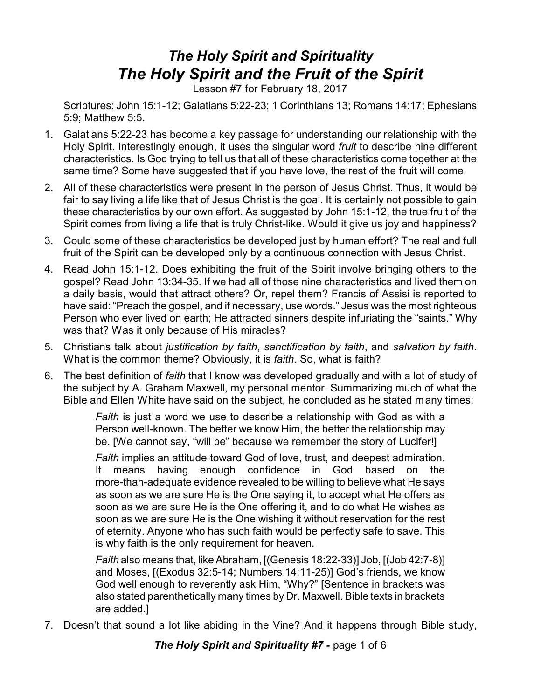## *The Holy Spirit and Spirituality The Holy Spirit and the Fruit of the Spirit*

Lesson #7 for February 18, 2017

Scriptures: John 15:1-12; Galatians 5:22-23; 1 Corinthians 13; Romans 14:17; Ephesians 5:9; Matthew 5:5.

- 1. Galatians 5:22-23 has become a key passage for understanding our relationship with the Holy Spirit. Interestingly enough, it uses the singular word *fruit* to describe nine different characteristics. Is God trying to tell us that all of these characteristics come together at the same time? Some have suggested that if you have love, the rest of the fruit will come.
- 2. All of these characteristics were present in the person of Jesus Christ. Thus, it would be fair to say living a life like that of Jesus Christ is the goal. It is certainly not possible to gain these characteristics by our own effort. As suggested by John 15:1-12, the true fruit of the Spirit comes from living a life that is truly Christ-like. Would it give us joy and happiness?
- 3. Could some of these characteristics be developed just by human effort? The real and full fruit of the Spirit can be developed only by a continuous connection with Jesus Christ.
- 4. Read John 15:1-12. Does exhibiting the fruit of the Spirit involve bringing others to the gospel? Read John 13:34-35. If we had all of those nine characteristics and lived them on a daily basis, would that attract others? Or, repel them? Francis of Assisi is reported to have said: "Preach the gospel, and if necessary, use words." Jesus was the most righteous Person who ever lived on earth; He attracted sinners despite infuriating the "saints." Why was that? Was it only because of His miracles?
- 5. Christians talk about *justification by faith*, *sanctification by faith*, and *salvation by faith*. What is the common theme? Obviously, it is *faith*. So, what is faith?
- 6. The best definition of *faith* that I know was developed gradually and with a lot of study of the subject by A. Graham Maxwell, my personal mentor. Summarizing much of what the Bible and Ellen White have said on the subject, he concluded as he stated many times:

*Faith* is just a word we use to describe a relationship with God as with a Person well-known. The better we know Him, the better the relationship may be. [We cannot say, "will be" because we remember the story of Lucifer!]

*Faith* implies an attitude toward God of love, trust, and deepest admiration. It means having enough confidence in God based on the more-than-adequate evidence revealed to be willing to believe what He says as soon as we are sure He is the One saying it, to accept what He offers as soon as we are sure He is the One offering it, and to do what He wishes as soon as we are sure He is the One wishing it without reservation for the rest of eternity. Anyone who has such faith would be perfectly safe to save. This is why faith is the only requirement for heaven.

*Faith* also means that, like Abraham, [(Genesis 18:22-33)] Job, [(Job 42:7-8)] and Moses, [(Exodus 32:5-14; Numbers 14:11-25)] God's friends, we know God well enough to reverently ask Him, "Why?" [Sentence in brackets was also stated parenthetically many times by Dr. Maxwell. Bible texts in brackets are added.]

7. Doesn't that sound a lot like abiding in the Vine? And it happens through Bible study,

*The Holy Spirit and Spirituality #7 - page 1 of 6*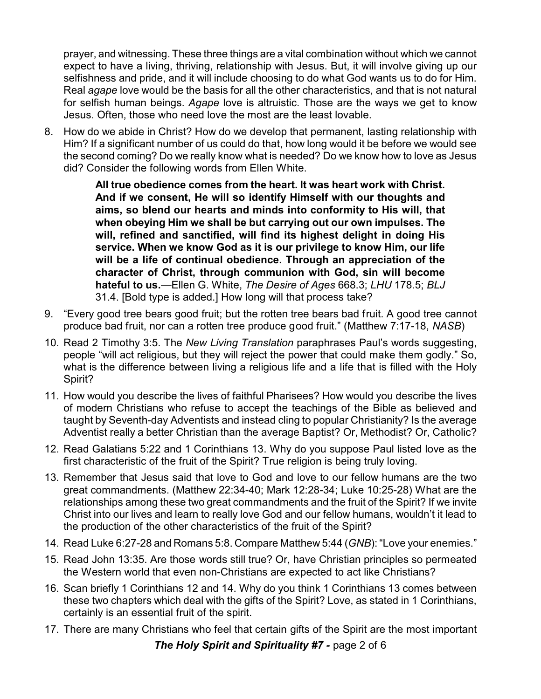prayer, and witnessing. These three things are a vital combination without which we cannot expect to have a living, thriving, relationship with Jesus. But, it will involve giving up our selfishness and pride, and it will include choosing to do what God wants us to do for Him. Real *agape* love would be the basis for all the other characteristics, and that is not natural for selfish human beings. *Agape* love is altruistic. Those are the ways we get to know Jesus. Often, those who need love the most are the least lovable.

8. How do we abide in Christ? How do we develop that permanent, lasting relationship with Him? If a significant number of us could do that, how long would it be before we would see the second coming? Do we really know what is needed? Do we know how to love as Jesus did? Consider the following words from Ellen White.

> **All true obedience comes from the heart. It was heart work with Christ. And if we consent, He will so identify Himself with our thoughts and aims, so blend our hearts and minds into conformity to His will, that when obeying Him we shall be but carrying out our own impulses. The will, refined and sanctified, will find its highest delight in doing His service. When we know God as it is our privilege to know Him, our life will be a life of continual obedience. Through an appreciation of the character of Christ, through communion with God, sin will become hateful to us.**—Ellen G. White, *The Desire of Ages* 668.3; *LHU* 178.5; *BLJ* 31.4. [Bold type is added.] How long will that process take?

- 9. "Every good tree bears good fruit; but the rotten tree bears bad fruit. A good tree cannot produce bad fruit, nor can a rotten tree produce good fruit." (Matthew 7:17-18, *NASB*)
- 10. Read 2 Timothy 3:5. The *New Living Translation* paraphrases Paul's words suggesting, people "will act religious, but they will reject the power that could make them godly." So, what is the difference between living a religious life and a life that is filled with the Holy Spirit?
- 11. How would you describe the lives of faithful Pharisees? How would you describe the lives of modern Christians who refuse to accept the teachings of the Bible as believed and taught by Seventh-day Adventists and instead cling to popular Christianity? Is the average Adventist really a better Christian than the average Baptist? Or, Methodist? Or, Catholic?
- 12. Read Galatians 5:22 and 1 Corinthians 13. Why do you suppose Paul listed love as the first characteristic of the fruit of the Spirit? True religion is being truly loving.
- 13. Remember that Jesus said that love to God and love to our fellow humans are the two great commandments. (Matthew 22:34-40; Mark 12:28-34; Luke 10:25-28) What are the relationships among these two great commandments and the fruit of the Spirit? If we invite Christ into our lives and learn to really love God and our fellow humans, wouldn't it lead to the production of the other characteristics of the fruit of the Spirit?
- 14. Read Luke 6:27-28 and Romans 5:8. Compare Matthew 5:44 (*GNB*): "Love your enemies."
- 15. Read John 13:35. Are those words still true? Or, have Christian principles so permeated the Western world that even non-Christians are expected to act like Christians?
- 16. Scan briefly 1 Corinthians 12 and 14. Why do you think 1 Corinthians 13 comes between these two chapters which deal with the gifts of the Spirit? Love, as stated in 1 Corinthians, certainly is an essential fruit of the spirit.
- 17. There are many Christians who feel that certain gifts of the Spirit are the most important

*The Holy Spirit and Spirituality #7 - page 2 of 6*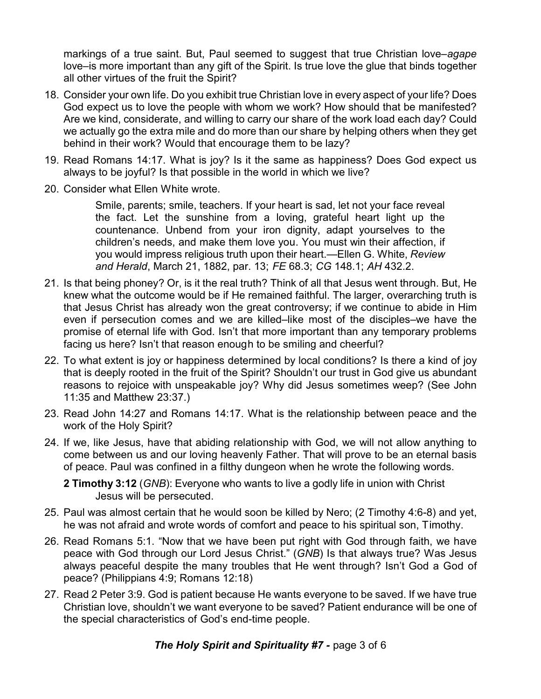markings of a true saint. But, Paul seemed to suggest that true Christian love–*agape* love–is more important than any gift of the Spirit. Is true love the glue that binds together all other virtues of the fruit the Spirit?

- 18. Consider your own life. Do you exhibit true Christian love in every aspect of your life? Does God expect us to love the people with whom we work? How should that be manifested? Are we kind, considerate, and willing to carry our share of the work load each day? Could we actually go the extra mile and do more than our share by helping others when they get behind in their work? Would that encourage them to be lazy?
- 19. Read Romans 14:17. What is joy? Is it the same as happiness? Does God expect us always to be joyful? Is that possible in the world in which we live?
- 20. Consider what Ellen White wrote.

Smile, parents; smile, teachers. If your heart is sad, let not your face reveal the fact. Let the sunshine from a loving, grateful heart light up the countenance. Unbend from your iron dignity, adapt yourselves to the children's needs, and make them love you. You must win their affection, if you would impress religious truth upon their heart.—Ellen G. White, *Review and Herald*, March 21, 1882, par. 13; *FE* 68.3; *CG* 148.1; *AH* 432.2.

- 21. Is that being phoney? Or, is it the real truth? Think of all that Jesus went through. But, He knew what the outcome would be if He remained faithful. The larger, overarching truth is that Jesus Christ has already won the great controversy; if we continue to abide in Him even if persecution comes and we are killed–like most of the disciples–we have the promise of eternal life with God. Isn't that more important than any temporary problems facing us here? Isn't that reason enough to be smiling and cheerful?
- 22. To what extent is joy or happiness determined by local conditions? Is there a kind of joy that is deeply rooted in the fruit of the Spirit? Shouldn't our trust in God give us abundant reasons to rejoice with unspeakable joy? Why did Jesus sometimes weep? (See John 11:35 and Matthew 23:37.)
- 23. Read John 14:27 and Romans 14:17. What is the relationship between peace and the work of the Holy Spirit?
- 24. If we, like Jesus, have that abiding relationship with God, we will not allow anything to come between us and our loving heavenly Father. That will prove to be an eternal basis of peace. Paul was confined in a filthy dungeon when he wrote the following words.

**2 Timothy 3:12** (*GNB*): Everyone who wants to live a godly life in union with Christ Jesus will be persecuted.

- 25. Paul was almost certain that he would soon be killed by Nero; (2 Timothy 4:6-8) and yet, he was not afraid and wrote words of comfort and peace to his spiritual son, Timothy.
- 26. Read Romans 5:1. "Now that we have been put right with God through faith, we have peace with God through our Lord Jesus Christ." (*GNB*) Is that always true? Was Jesus always peaceful despite the many troubles that He went through? Isn't God a God of peace? (Philippians 4:9; Romans 12:18)
- 27. Read 2 Peter 3:9. God is patient because He wants everyone to be saved. If we have true Christian love, shouldn't we want everyone to be saved? Patient endurance will be one of the special characteristics of God's end-time people.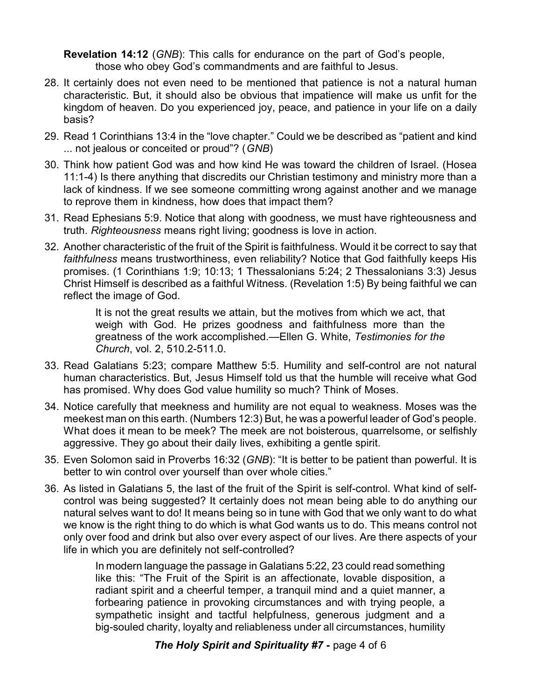**Revelation 14:12** (*GNB*): This calls for endurance on the part of God's people, those who obey God's commandments and are faithful to Jesus.

- 28. It certainly does not even need to be mentioned that patience is not a natural human characteristic. But, it should also be obvious that impatience will make us unfit for the kingdom of heaven. Do you experienced joy, peace, and patience in your life on a daily basis?
- 29. Read 1 Corinthians 13:4 in the "love chapter." Could we be described as "patient and kind ... not jealous or conceited or proud"? (*GNB*)
- 30. Think how patient God was and how kind He was toward the children of Israel. (Hosea 11:1-4) Is there anything that discredits our Christian testimony and ministry more than a lack of kindness. If we see someone committing wrong against another and we manage to reprove them in kindness, how does that impact them?
- 31. Read Ephesians 5:9. Notice that along with goodness, we must have righteousness and truth. *Righteousness* means right living; goodness is love in action.
- 32. Another characteristic of the fruit of the Spirit is faithfulness. Would it be correct to say that *faithfulness* means trustworthiness, even reliability? Notice that God faithfully keeps His promises. (1 Corinthians 1:9; 10:13; 1 Thessalonians 5:24; 2 Thessalonians 3:3) Jesus Christ Himself is described as a faithful Witness. (Revelation 1:5) By being faithful we can reflect the image of God.

It is not the great results we attain, but the motives from which we act, that weigh with God. He prizes goodness and faithfulness more than the greatness of the work accomplished.—Ellen G. White, *Testimonies for the Church*, vol. 2, 510.2-511.0.

- 33. Read Galatians 5:23; compare Matthew 5:5. Humility and self-control are not natural human characteristics. But, Jesus Himself told us that the humble will receive what God has promised. Why does God value humility so much? Think of Moses.
- 34. Notice carefully that meekness and humility are not equal to weakness. Moses was the meekest man on this earth. (Numbers 12:3) But, he was a powerful leader of God's people. What does it mean to be meek? The meek are not boisterous, quarrelsome, or selfishly aggressive. They go about their daily lives, exhibiting a gentle spirit.
- 35. Even Solomon said in Proverbs 16:32 (*GNB*): "It is better to be patient than powerful. It is better to win control over yourself than over whole cities."
- 36. As listed in Galatians 5, the last of the fruit of the Spirit is self-control. What kind of selfcontrol was being suggested? It certainly does not mean being able to do anything our natural selves want to do! It means being so in tune with God that we only want to do what we know is the right thing to do which is what God wants us to do. This means control not only over food and drink but also over every aspect of our lives. Are there aspects of your life in which you are definitely not self-controlled?

In modern language the passage in Galatians 5:22, 23 could read something like this: "The Fruit of the Spirit is an affectionate, lovable disposition, a radiant spirit and a cheerful temper, a tranquil mind and a quiet manner, a forbearing patience in provoking circumstances and with trying people, a sympathetic insight and tactful helpfulness, generous judgment and a big-souled charity, loyalty and reliableness under all circumstances, humility

**The Holy Spirit and Spirituality #7 - page 4 of 6**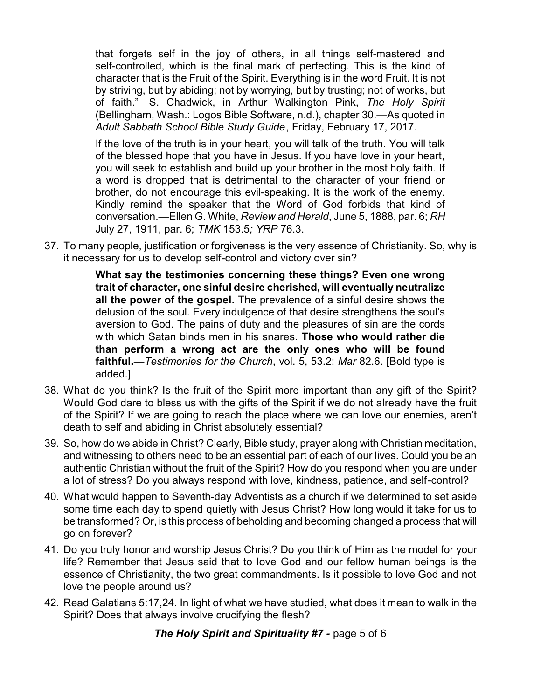that forgets self in the joy of others, in all things self-mastered and self-controlled, which is the final mark of perfecting. This is the kind of character that is the Fruit of the Spirit. Everything is in the word Fruit. It is not by striving, but by abiding; not by worrying, but by trusting; not of works, but of faith."—S. Chadwick, in Arthur Walkington Pink, *The Holy Spirit* (Bellingham, Wash.: Logos Bible Software, n.d.), chapter 30.—As quoted in *Adult Sabbath School Bible Study Guide*, Friday, February 17, 2017.

If the love of the truth is in your heart, you will talk of the truth. You will talk of the blessed hope that you have in Jesus. If you have love in your heart, you will seek to establish and build up your brother in the most holy faith. If a word is dropped that is detrimental to the character of your friend or brother, do not encourage this evil-speaking. It is the work of the enemy. Kindly remind the speaker that the Word of God forbids that kind of conversation.—Ellen G. White, *Review and Herald*, June 5, 1888, par. 6; *RH* July 27, 1911, par. 6; *TMK* 153.5*; YRP* 76.3.

37. To many people, justification or forgiveness is the very essence of Christianity. So, why is it necessary for us to develop self-control and victory over sin?

> **What say the testimonies concerning these things? Even one wrong trait of character, one sinful desire cherished, will eventually neutralize all the power of the gospel.** The prevalence of a sinful desire shows the delusion of the soul. Every indulgence of that desire strengthens the soul's aversion to God. The pains of duty and the pleasures of sin are the cords with which Satan binds men in his snares. **Those who would rather die than perform a wrong act are the only ones who will be found faithful.**—*Testimonies for the Church*, vol. 5, 53.2; *Mar* 82.6. [Bold type is added.]

- 38. What do you think? Is the fruit of the Spirit more important than any gift of the Spirit? Would God dare to bless us with the gifts of the Spirit if we do not already have the fruit of the Spirit? If we are going to reach the place where we can love our enemies, aren't death to self and abiding in Christ absolutely essential?
- 39. So, how do we abide in Christ? Clearly, Bible study, prayer along with Christian meditation, and witnessing to others need to be an essential part of each of our lives. Could you be an authentic Christian without the fruit of the Spirit? How do you respond when you are under a lot of stress? Do you always respond with love, kindness, patience, and self-control?
- 40. What would happen to Seventh-day Adventists as a church if we determined to set aside some time each day to spend quietly with Jesus Christ? How long would it take for us to be transformed? Or, is this process of beholding and becoming changed a process that will go on forever?
- 41. Do you truly honor and worship Jesus Christ? Do you think of Him as the model for your life? Remember that Jesus said that to love God and our fellow human beings is the essence of Christianity, the two great commandments. Is it possible to love God and not love the people around us?
- 42. Read Galatians 5:17,24. In light of what we have studied, what does it mean to walk in the Spirit? Does that always involve crucifying the flesh?

*The Holy Spirit and Spirituality #7 -* page 5 of 6